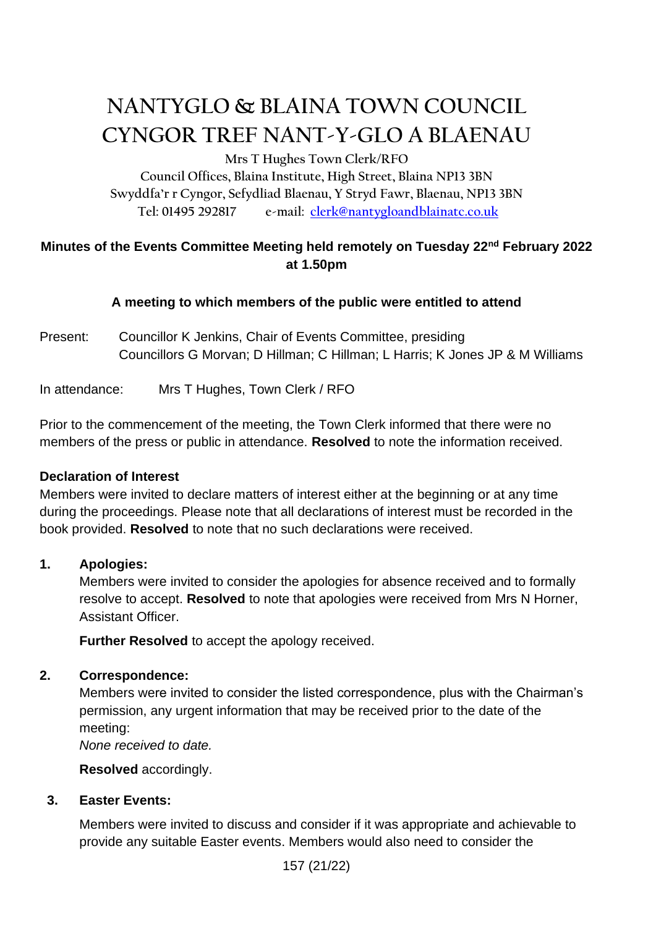# **NANTYGLO & BLAINA TOWN COUNCIL CYNGOR TREF NANT-Y-GLO A BLAENAU**

**Mrs T Hughes Town Clerk/RFO**

**Council Offices, Blaina Institute, High Street, Blaina NP13 3BN Swyddfa'r r Cyngor, Sefydliad Blaenau, Y Stryd Fawr, Blaenau, NP13 3BN Tel: 01495 292817 e-mail: [clerk@nantygloandblainatc.co.uk](mailto:clerk@nantygloandblainatc.co.uk)**

# **Minutes of the Events Committee Meeting held remotely on Tuesday 22nd February 2022 at 1.50pm**

# **A meeting to which members of the public were entitled to attend**

Present: Councillor K Jenkins, Chair of Events Committee, presiding Councillors G Morvan; D Hillman; C Hillman; L Harris; K Jones JP & M Williams

In attendance: Mrs T Hughes, Town Clerk / RFO

Prior to the commencement of the meeting, the Town Clerk informed that there were no members of the press or public in attendance. **Resolved** to note the information received.

## **Declaration of Interest**

Members were invited to declare matters of interest either at the beginning or at any time during the proceedings. Please note that all declarations of interest must be recorded in the book provided. **Resolved** to note that no such declarations were received.

## **1. Apologies:**

Members were invited to consider the apologies for absence received and to formally resolve to accept. **Resolved** to note that apologies were received from Mrs N Horner, Assistant Officer.

**Further Resolved** to accept the apology received.

## **2. Correspondence:**

Members were invited to consider the listed correspondence, plus with the Chairman's permission, any urgent information that may be received prior to the date of the meeting:

*None received to date.*

**Resolved** accordingly.

## **3. Easter Events:**

Members were invited to discuss and consider if it was appropriate and achievable to provide any suitable Easter events. Members would also need to consider the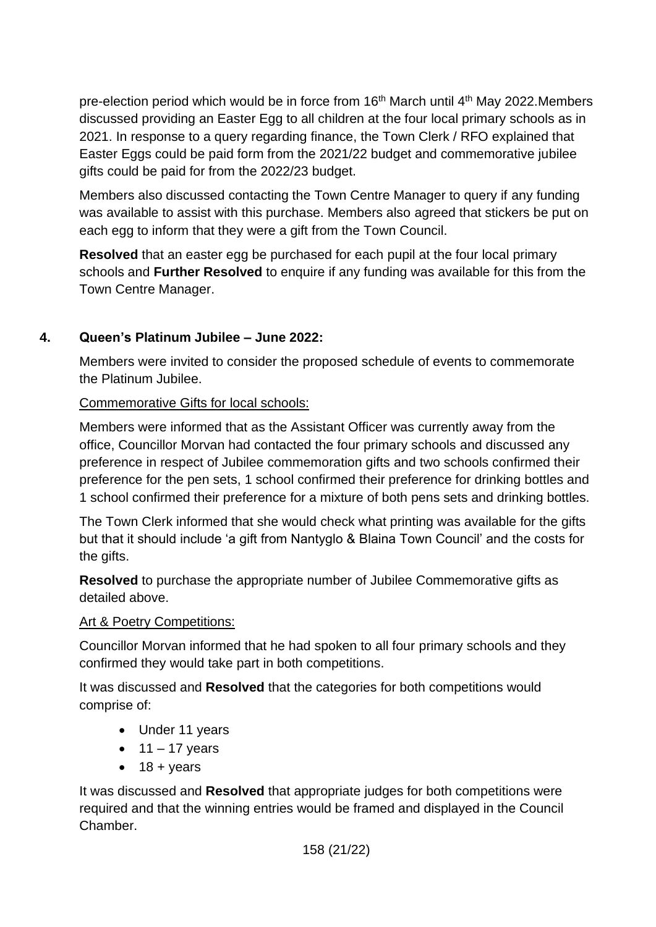pre-election period which would be in force from 16<sup>th</sup> March until 4<sup>th</sup> May 2022. Members discussed providing an Easter Egg to all children at the four local primary schools as in 2021. In response to a query regarding finance, the Town Clerk / RFO explained that Easter Eggs could be paid form from the 2021/22 budget and commemorative jubilee gifts could be paid for from the 2022/23 budget.

Members also discussed contacting the Town Centre Manager to query if any funding was available to assist with this purchase. Members also agreed that stickers be put on each egg to inform that they were a gift from the Town Council.

**Resolved** that an easter egg be purchased for each pupil at the four local primary schools and **Further Resolved** to enquire if any funding was available for this from the Town Centre Manager.

# **4. Queen's Platinum Jubilee – June 2022:**

Members were invited to consider the proposed schedule of events to commemorate the Platinum Jubilee.

## Commemorative Gifts for local schools:

Members were informed that as the Assistant Officer was currently away from the office, Councillor Morvan had contacted the four primary schools and discussed any preference in respect of Jubilee commemoration gifts and two schools confirmed their preference for the pen sets, 1 school confirmed their preference for drinking bottles and 1 school confirmed their preference for a mixture of both pens sets and drinking bottles.

The Town Clerk informed that she would check what printing was available for the gifts but that it should include 'a gift from Nantyglo & Blaina Town Council' and the costs for the gifts.

**Resolved** to purchase the appropriate number of Jubilee Commemorative gifts as detailed above.

## Art & Poetry Competitions:

Councillor Morvan informed that he had spoken to all four primary schools and they confirmed they would take part in both competitions.

It was discussed and **Resolved** that the categories for both competitions would comprise of:

- Under 11 years
- $\bullet$  11 17 years
- $18 + *years*$

It was discussed and **Resolved** that appropriate judges for both competitions were required and that the winning entries would be framed and displayed in the Council Chamber.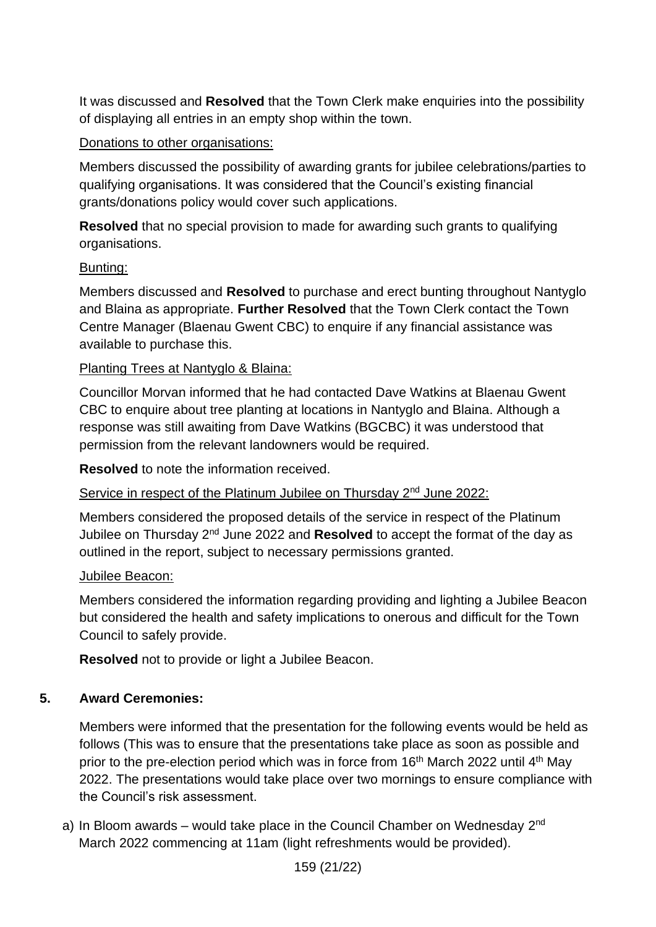It was discussed and **Resolved** that the Town Clerk make enquiries into the possibility of displaying all entries in an empty shop within the town.

#### Donations to other organisations:

Members discussed the possibility of awarding grants for jubilee celebrations/parties to qualifying organisations. It was considered that the Council's existing financial grants/donations policy would cover such applications.

**Resolved** that no special provision to made for awarding such grants to qualifying organisations.

#### Bunting:

Members discussed and **Resolved** to purchase and erect bunting throughout Nantyglo and Blaina as appropriate. **Further Resolved** that the Town Clerk contact the Town Centre Manager (Blaenau Gwent CBC) to enquire if any financial assistance was available to purchase this.

#### Planting Trees at Nantyglo & Blaina:

Councillor Morvan informed that he had contacted Dave Watkins at Blaenau Gwent CBC to enquire about tree planting at locations in Nantyglo and Blaina. Although a response was still awaiting from Dave Watkins (BGCBC) it was understood that permission from the relevant landowners would be required.

**Resolved** to note the information received.

Service in respect of the Platinum Jubilee on Thursday 2<sup>nd</sup> June 2022:

Members considered the proposed details of the service in respect of the Platinum Jubilee on Thursday 2nd June 2022 and **Resolved** to accept the format of the day as outlined in the report, subject to necessary permissions granted.

#### Jubilee Beacon:

Members considered the information regarding providing and lighting a Jubilee Beacon but considered the health and safety implications to onerous and difficult for the Town Council to safely provide.

**Resolved** not to provide or light a Jubilee Beacon.

#### **5. Award Ceremonies:**

Members were informed that the presentation for the following events would be held as follows (This was to ensure that the presentations take place as soon as possible and prior to the pre-election period which was in force from 16<sup>th</sup> March 2022 until 4<sup>th</sup> May 2022. The presentations would take place over two mornings to ensure compliance with the Council's risk assessment.

a) In Bloom awards – would take place in the Council Chamber on Wednesday 2<sup>nd</sup> March 2022 commencing at 11am (light refreshments would be provided).